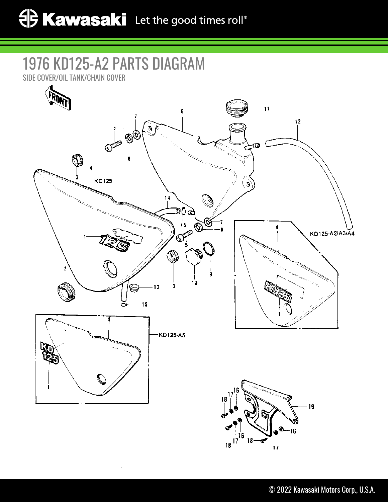## 1976 KD125-A2 PARTS DIAGRAM

SIDE COVER/OIL TANK/CHAIN COVER



 $17$